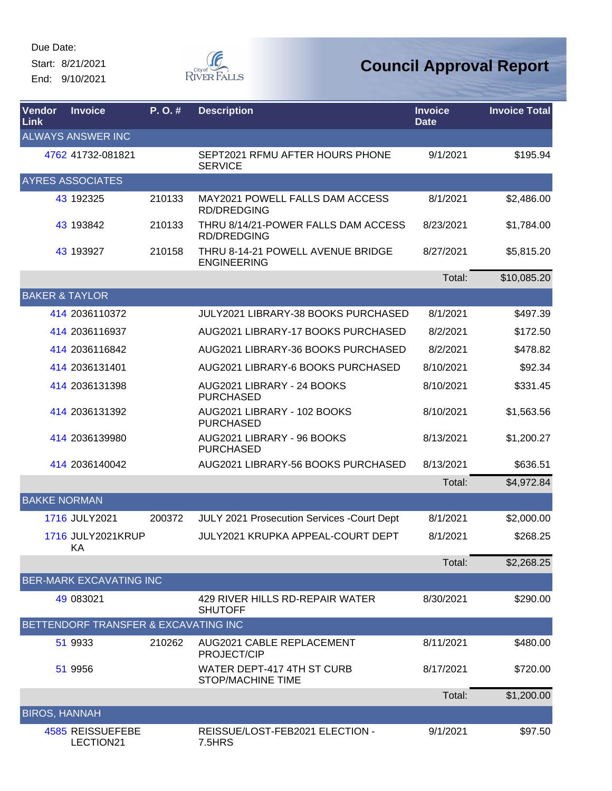Start: 8/21/2021 End: 9/10/2021



| Vendor<br>Link       | <b>Invoice</b>                       | P.O.#  | <b>Description</b>                                        | <b>Invoice</b><br><b>Date</b> | <b>Invoice Total</b> |
|----------------------|--------------------------------------|--------|-----------------------------------------------------------|-------------------------------|----------------------|
|                      | <b>ALWAYS ANSWER INC</b>             |        |                                                           |                               |                      |
|                      | 4762 41732-081821                    |        | SEPT2021 RFMU AFTER HOURS PHONE<br><b>SERVICE</b>         | 9/1/2021                      | \$195.94             |
|                      | <b>AYRES ASSOCIATES</b>              |        |                                                           |                               |                      |
|                      | 43 192325                            | 210133 | MAY2021 POWELL FALLS DAM ACCESS<br><b>RD/DREDGING</b>     | 8/1/2021                      | \$2,486.00           |
|                      | 43 193842                            | 210133 | THRU 8/14/21-POWER FALLS DAM ACCESS<br><b>RD/DREDGING</b> | 8/23/2021                     | \$1,784.00           |
|                      | 43 193927                            | 210158 | THRU 8-14-21 POWELL AVENUE BRIDGE<br><b>ENGINEERING</b>   | 8/27/2021                     | \$5,815.20           |
|                      |                                      |        |                                                           | Total:                        | \$10,085.20          |
|                      | <b>BAKER &amp; TAYLOR</b>            |        |                                                           |                               |                      |
|                      | 414 2036110372                       |        | <b>JULY2021 LIBRARY-38 BOOKS PURCHASED</b>                | 8/1/2021                      | \$497.39             |
|                      | 414 2036116937                       |        | AUG2021 LIBRARY-17 BOOKS PURCHASED                        | 8/2/2021                      | \$172.50             |
|                      | 414 2036116842                       |        | AUG2021 LIBRARY-36 BOOKS PURCHASED                        | 8/2/2021                      | \$478.82             |
|                      | 414 2036131401                       |        | AUG2021 LIBRARY-6 BOOKS PURCHASED                         | 8/10/2021                     | \$92.34              |
|                      | 414 2036131398                       |        | AUG2021 LIBRARY - 24 BOOKS<br><b>PURCHASED</b>            | 8/10/2021                     | \$331.45             |
|                      | 414 2036131392                       |        | AUG2021 LIBRARY - 102 BOOKS<br><b>PURCHASED</b>           | 8/10/2021                     | \$1,563.56           |
|                      | 414 2036139980                       |        | AUG2021 LIBRARY - 96 BOOKS<br><b>PURCHASED</b>            | 8/13/2021                     | \$1,200.27           |
|                      | 414 2036140042                       |        | AUG2021 LIBRARY-56 BOOKS PURCHASED                        | 8/13/2021                     | \$636.51             |
|                      |                                      |        |                                                           | Total:                        | \$4,972.84           |
| <b>BAKKE NORMAN</b>  |                                      |        |                                                           |                               |                      |
|                      | 1716 JULY2021                        | 200372 | JULY 2021 Prosecution Services - Court Dept               | 8/1/2021                      | \$2,000.00           |
|                      | 1716 JULY2021KRUP<br>KA              |        | <b>JULY2021 KRUPKA APPEAL-COURT DEPT</b>                  | 8/1/2021                      | \$268.25             |
|                      |                                      |        |                                                           | Total:                        | \$2,268.25           |
|                      | <b>BER-MARK EXCAVATING INC</b>       |        |                                                           |                               |                      |
|                      | 49 083021                            |        | 429 RIVER HILLS RD-REPAIR WATER<br><b>SHUTOFF</b>         | 8/30/2021                     | \$290.00             |
|                      | BETTENDORF TRANSFER & EXCAVATING INC |        |                                                           |                               |                      |
|                      | 51 9933                              | 210262 | AUG2021 CABLE REPLACEMENT<br>PROJECT/CIP                  | 8/11/2021                     | \$480.00             |
|                      | 51 9956                              |        | WATER DEPT-417 4TH ST CURB<br>STOP/MACHINE TIME           | 8/17/2021                     | \$720.00             |
|                      |                                      |        |                                                           | Total:                        | \$1,200.00           |
| <b>BIROS, HANNAH</b> |                                      |        |                                                           |                               |                      |
|                      | 4585 REISSUEFEBE<br>LECTION21        |        | REISSUE/LOST-FEB2021 ELECTION -<br>7.5HRS                 | 9/1/2021                      | \$97.50              |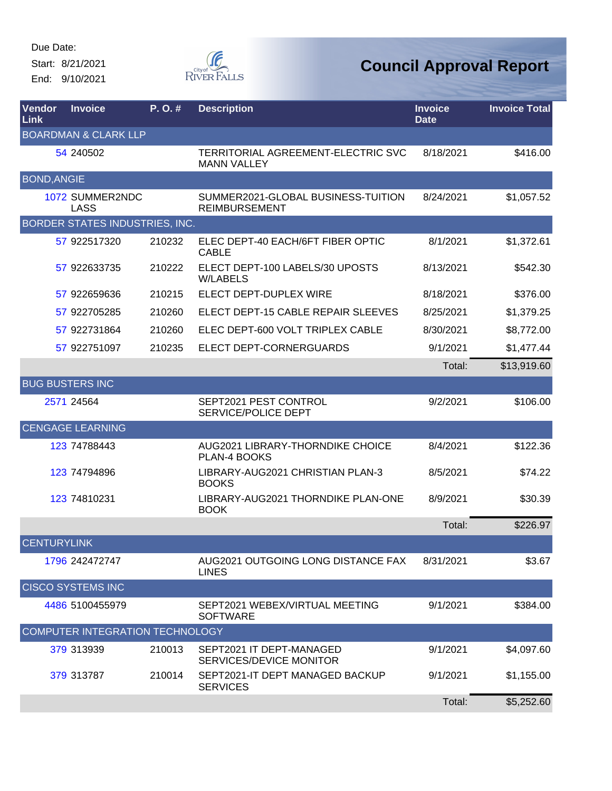Start: 8/21/2021 End: 9/10/2021



| Vendor<br>Link     | <b>Invoice</b>                        | P.O.#  | <b>Description</b>                                         | <b>Invoice</b><br><b>Date</b> | <b>Invoice Total</b> |
|--------------------|---------------------------------------|--------|------------------------------------------------------------|-------------------------------|----------------------|
|                    | <b>BOARDMAN &amp; CLARK LLP</b>       |        |                                                            |                               |                      |
|                    | 54 240502                             |        | TERRITORIAL AGREEMENT-ELECTRIC SVC<br><b>MANN VALLEY</b>   | 8/18/2021                     | \$416.00             |
| <b>BOND, ANGIE</b> |                                       |        |                                                            |                               |                      |
|                    | 1072 SUMMER2NDC<br>LASS               |        | SUMMER2021-GLOBAL BUSINESS-TUITION<br><b>REIMBURSEMENT</b> | 8/24/2021                     | \$1,057.52           |
|                    | <b>BORDER STATES INDUSTRIES, INC.</b> |        |                                                            |                               |                      |
|                    | 57 922517320                          | 210232 | ELEC DEPT-40 EACH/6FT FIBER OPTIC<br><b>CABLE</b>          | 8/1/2021                      | \$1,372.61           |
|                    | 57 922633735                          | 210222 | ELECT DEPT-100 LABELS/30 UPOSTS<br><b>W/LABELS</b>         | 8/13/2021                     | \$542.30             |
|                    | 57 922659636                          | 210215 | <b>ELECT DEPT-DUPLEX WIRE</b>                              | 8/18/2021                     | \$376.00             |
|                    | 57 922705285                          | 210260 | ELECT DEPT-15 CABLE REPAIR SLEEVES                         | 8/25/2021                     | \$1,379.25           |
|                    | 57 922731864                          | 210260 | ELEC DEPT-600 VOLT TRIPLEX CABLE                           | 8/30/2021                     | \$8,772.00           |
|                    | 57 922751097                          | 210235 | ELECT DEPT-CORNERGUARDS                                    | 9/1/2021                      | \$1,477.44           |
|                    |                                       |        |                                                            | Total:                        | \$13,919.60          |
|                    | <b>BUG BUSTERS INC</b>                |        |                                                            |                               |                      |
|                    | 2571 24564                            |        | SEPT2021 PEST CONTROL<br>SERVICE/POLICE DEPT               | 9/2/2021                      | \$106.00             |
|                    | <b>CENGAGE LEARNING</b>               |        |                                                            |                               |                      |
|                    | 123 74788443                          |        | AUG2021 LIBRARY-THORNDIKE CHOICE<br><b>PLAN-4 BOOKS</b>    | 8/4/2021                      | \$122.36             |
|                    | 123 74794896                          |        | LIBRARY-AUG2021 CHRISTIAN PLAN-3<br><b>BOOKS</b>           | 8/5/2021                      | \$74.22              |
|                    | 123 74810231                          |        | LIBRARY-AUG2021 THORNDIKE PLAN-ONE<br><b>BOOK</b>          | 8/9/2021                      | \$30.39              |
|                    |                                       |        |                                                            | Total:                        | \$226.97             |
| <b>CENTURYLINK</b> |                                       |        |                                                            |                               |                      |
|                    | 1796 242472747                        |        | AUG2021 OUTGOING LONG DISTANCE FAX<br><b>LINES</b>         | 8/31/2021                     | \$3.67               |
|                    | <b>CISCO SYSTEMS INC</b>              |        |                                                            |                               |                      |
|                    | 4486 5100455979                       |        | SEPT2021 WEBEX/VIRTUAL MEETING<br><b>SOFTWARE</b>          | 9/1/2021                      | \$384.00             |
|                    | COMPUTER INTEGRATION TECHNOLOGY       |        |                                                            |                               |                      |
|                    | 379 313939                            | 210013 | SEPT2021 IT DEPT-MANAGED<br>SERVICES/DEVICE MONITOR        | 9/1/2021                      | \$4,097.60           |
|                    | 379 313787                            | 210014 | SEPT2021-IT DEPT MANAGED BACKUP<br><b>SERVICES</b>         | 9/1/2021                      | \$1,155.00           |
|                    |                                       |        |                                                            | Total:                        | \$5,252.60           |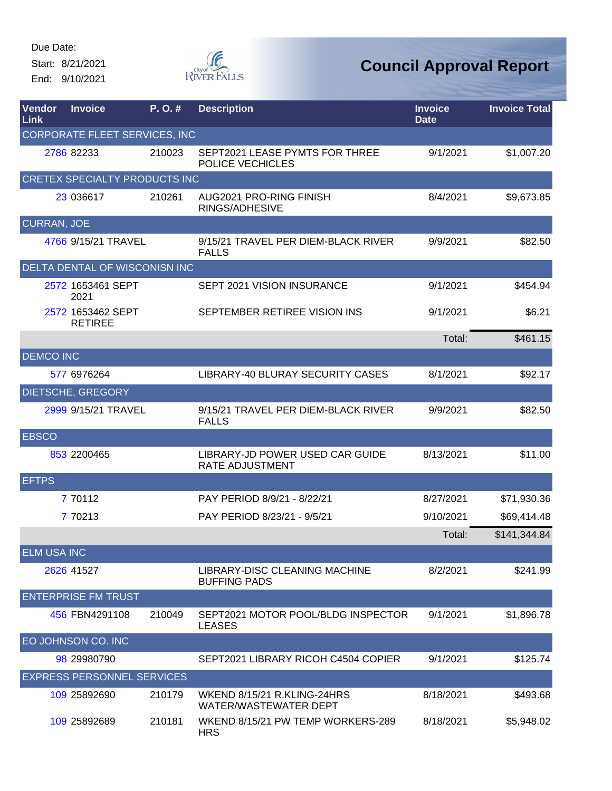Start: 8/21/2021 End: 9/10/2021



| Vendor<br><b>Link</b> | <b>Invoice</b>                       | P. O. # | <b>Description</b>                                   | <b>Invoice</b><br><b>Date</b> | <b>Invoice Total</b> |
|-----------------------|--------------------------------------|---------|------------------------------------------------------|-------------------------------|----------------------|
|                       | <b>CORPORATE FLEET SERVICES, INC</b> |         |                                                      |                               |                      |
|                       | 2786 82233                           | 210023  | SEPT2021 LEASE PYMTS FOR THREE<br>POLICE VECHICLES   | 9/1/2021                      | \$1,007.20           |
|                       | CRETEX SPECIALTY PRODUCTS INC        |         |                                                      |                               |                      |
|                       | 23 036617                            | 210261  | AUG2021 PRO-RING FINISH<br>RINGS/ADHESIVE            | 8/4/2021                      | \$9,673.85           |
| <b>CURRAN, JOE</b>    |                                      |         |                                                      |                               |                      |
|                       | 4766 9/15/21 TRAVEL                  |         | 9/15/21 TRAVEL PER DIEM-BLACK RIVER<br><b>FALLS</b>  | 9/9/2021                      | \$82.50              |
|                       | DELTA DENTAL OF WISCONISN INC        |         |                                                      |                               |                      |
|                       | 2572 1653461 SEPT<br>2021            |         | SEPT 2021 VISION INSURANCE                           | 9/1/2021                      | \$454.94             |
|                       | 2572 1653462 SEPT<br><b>RETIREE</b>  |         | SEPTEMBER RETIREE VISION INS                         | 9/1/2021                      | \$6.21               |
|                       |                                      |         |                                                      | Total:                        | \$461.15             |
| <b>DEMCO INC</b>      |                                      |         |                                                      |                               |                      |
|                       | 577 6976264                          |         | LIBRARY-40 BLURAY SECURITY CASES                     | 8/1/2021                      | \$92.17              |
|                       | <b>DIETSCHE, GREGORY</b>             |         |                                                      |                               |                      |
|                       | 2999 9/15/21 TRAVEL                  |         | 9/15/21 TRAVEL PER DIEM-BLACK RIVER<br><b>FALLS</b>  | 9/9/2021                      | \$82.50              |
| <b>EBSCO</b>          |                                      |         |                                                      |                               |                      |
|                       | 853 2200465                          |         | LIBRARY-JD POWER USED CAR GUIDE<br>RATE ADJUSTMENT   | 8/13/2021                     | \$11.00              |
| <b>EFTPS</b>          |                                      |         |                                                      |                               |                      |
|                       | 7 70112                              |         | PAY PERIOD 8/9/21 - 8/22/21                          | 8/27/2021                     | \$71,930.36          |
|                       | 7 70213                              |         | PAY PERIOD 8/23/21 - 9/5/21                          | 9/10/2021                     | \$69,414.48          |
|                       |                                      |         |                                                      | Total:                        | \$141,344.84         |
| <b>ELM USA INC</b>    |                                      |         |                                                      |                               |                      |
|                       | 2626 41527                           |         | LIBRARY-DISC CLEANING MACHINE<br><b>BUFFING PADS</b> | 8/2/2021                      | \$241.99             |
|                       | <b>ENTERPRISE FM TRUST</b>           |         |                                                      |                               |                      |
|                       | 456 FBN4291108                       | 210049  | SEPT2021 MOTOR POOL/BLDG INSPECTOR<br><b>LEASES</b>  | 9/1/2021                      | \$1,896.78           |
|                       | EO JOHNSON CO. INC                   |         |                                                      |                               |                      |
|                       | 98 29980790                          |         | SEPT2021 LIBRARY RICOH C4504 COPIER                  | 9/1/2021                      | \$125.74             |
|                       | <b>EXPRESS PERSONNEL SERVICES</b>    |         |                                                      |                               |                      |
|                       | 109 25892690                         | 210179  | WKEND 8/15/21 R.KLING-24HRS<br>WATER/WASTEWATER DEPT | 8/18/2021                     | \$493.68             |
|                       | 109 25892689                         | 210181  | WKEND 8/15/21 PW TEMP WORKERS-289<br><b>HRS</b>      | 8/18/2021                     | \$5,948.02           |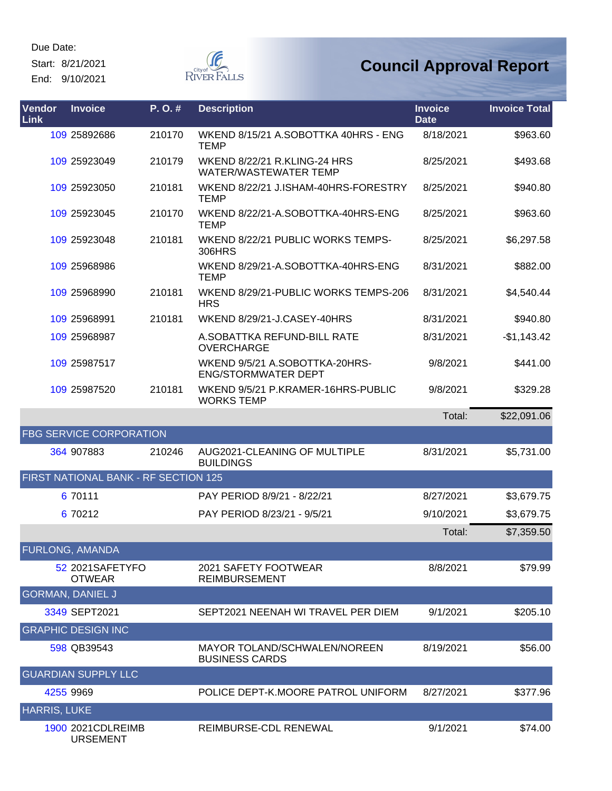Start: 8/21/2021

End: 9/10/2021



| Vendor<br>Link      | <b>Invoice</b>                        | P.O.#  | <b>Description</b>                                                  | <b>Invoice</b><br><b>Date</b> | <b>Invoice Total</b> |
|---------------------|---------------------------------------|--------|---------------------------------------------------------------------|-------------------------------|----------------------|
|                     | 109 25892686                          | 210170 | WKEND 8/15/21 A.SOBOTTKA 40HRS - ENG<br><b>TEMP</b>                 | 8/18/2021                     | \$963.60             |
|                     | 109 25923049                          | 210179 | <b>WKEND 8/22/21 R.KLING-24 HRS</b><br><b>WATER/WASTEWATER TEMP</b> | 8/25/2021                     | \$493.68             |
|                     | 109 25923050                          | 210181 | WKEND 8/22/21 J.ISHAM-40HRS-FORESTRY<br><b>TEMP</b>                 | 8/25/2021                     | \$940.80             |
|                     | 109 25923045                          | 210170 | WKEND 8/22/21-A.SOBOTTKA-40HRS-ENG<br><b>TEMP</b>                   | 8/25/2021                     | \$963.60             |
|                     | 109 25923048                          | 210181 | WKEND 8/22/21 PUBLIC WORKS TEMPS-<br>306HRS                         | 8/25/2021                     | \$6,297.58           |
|                     | 109 25968986                          |        | WKEND 8/29/21-A.SOBOTTKA-40HRS-ENG<br><b>TEMP</b>                   | 8/31/2021                     | \$882.00             |
|                     | 109 25968990                          | 210181 | WKEND 8/29/21-PUBLIC WORKS TEMPS-206<br><b>HRS</b>                  | 8/31/2021                     | \$4,540.44           |
|                     | 109 25968991                          | 210181 | WKEND 8/29/21-J.CASEY-40HRS                                         | 8/31/2021                     | \$940.80             |
|                     | 109 25968987                          |        | A.SOBATTKA REFUND-BILL RATE<br>OVERCHARGE                           | 8/31/2021                     | $-$1,143.42$         |
|                     | 109 25987517                          |        | WKEND 9/5/21 A.SOBOTTKA-20HRS-<br><b>ENG/STORMWATER DEPT</b>        | 9/8/2021                      | \$441.00             |
|                     | 109 25987520                          | 210181 | WKEND 9/5/21 P.KRAMER-16HRS-PUBLIC<br><b>WORKS TEMP</b>             | 9/8/2021                      | \$329.28             |
|                     |                                       |        |                                                                     | Total:                        | \$22,091.06          |
|                     | <b>FBG SERVICE CORPORATION</b>        |        |                                                                     |                               |                      |
|                     | 364 907883                            | 210246 | AUG2021-CLEANING OF MULTIPLE<br><b>BUILDINGS</b>                    | 8/31/2021                     | \$5,731.00           |
|                     | FIRST NATIONAL BANK - RF SECTION 125  |        |                                                                     |                               |                      |
|                     | 6 70111                               |        | PAY PERIOD 8/9/21 - 8/22/21                                         | 8/27/2021                     | \$3,679.75           |
|                     | 6 70212                               |        | PAY PERIOD 8/23/21 - 9/5/21                                         | 9/10/2021                     | \$3,679.75           |
|                     |                                       |        |                                                                     | Total:                        | \$7,359.50           |
|                     | <b>FURLONG, AMANDA</b>                |        |                                                                     |                               |                      |
|                     | 52 2021SAFETYFO<br><b>OTWEAR</b>      |        | 2021 SAFETY FOOTWEAR<br><b>REIMBURSEMENT</b>                        | 8/8/2021                      | \$79.99              |
|                     | <b>GORMAN, DANIEL J</b>               |        |                                                                     |                               |                      |
|                     | 3349 SEPT2021                         |        | SEPT2021 NEENAH WI TRAVEL PER DIEM                                  | 9/1/2021                      | \$205.10             |
|                     | <b>GRAPHIC DESIGN INC</b>             |        |                                                                     |                               |                      |
|                     | 598 QB39543                           |        | MAYOR TOLAND/SCHWALEN/NOREEN<br><b>BUSINESS CARDS</b>               | 8/19/2021                     | \$56.00              |
|                     | <b>GUARDIAN SUPPLY LLC</b>            |        |                                                                     |                               |                      |
|                     | 4255 9969                             |        | POLICE DEPT-K.MOORE PATROL UNIFORM                                  | 8/27/2021                     | \$377.96             |
| <b>HARRIS, LUKE</b> |                                       |        |                                                                     |                               |                      |
|                     | 1900 2021 CDLREIMB<br><b>URSEMENT</b> |        | REIMBURSE-CDL RENEWAL                                               | 9/1/2021                      | \$74.00              |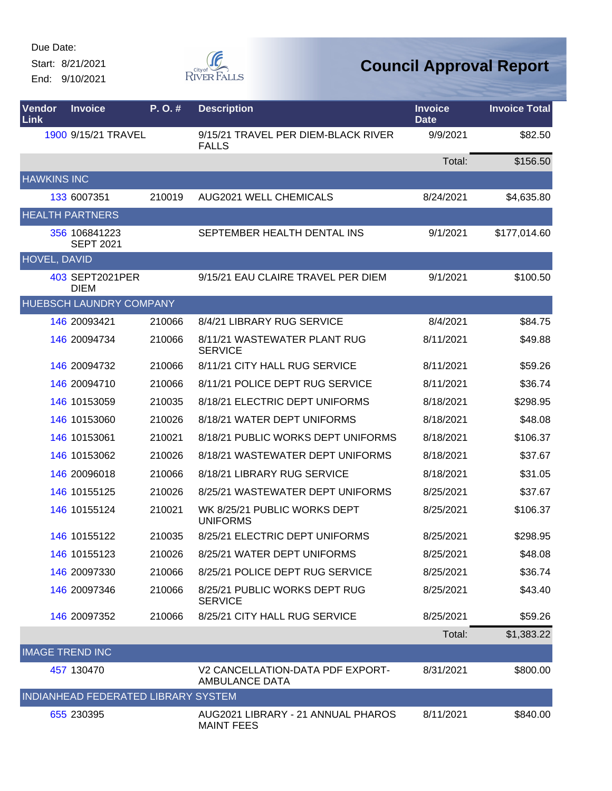Start: 8/21/2021 End: 9/10/2021



| Vendor<br>Link         | <b>Invoice</b>                      | P.O.#  | <b>Description</b>                                        | <b>Invoice</b><br><b>Date</b> | <b>Invoice Total</b> |
|------------------------|-------------------------------------|--------|-----------------------------------------------------------|-------------------------------|----------------------|
|                        | 1900 9/15/21 TRAVEL                 |        | 9/15/21 TRAVEL PER DIEM-BLACK RIVER<br><b>FALLS</b>       | 9/9/2021                      | \$82.50              |
|                        |                                     |        |                                                           | Total:                        | \$156.50             |
| <b>HAWKINS INC</b>     |                                     |        |                                                           |                               |                      |
|                        | 133 6007351                         | 210019 | <b>AUG2021 WELL CHEMICALS</b>                             | 8/24/2021                     | \$4,635.80           |
|                        | <b>HEALTH PARTNERS</b>              |        |                                                           |                               |                      |
|                        | 356 106841223<br><b>SEPT 2021</b>   |        | SEPTEMBER HEALTH DENTAL INS                               | 9/1/2021                      | \$177,014.60         |
| <b>HOVEL, DAVID</b>    |                                     |        |                                                           |                               |                      |
|                        | 403 SEPT2021PER<br><b>DIEM</b>      |        | 9/15/21 EAU CLAIRE TRAVEL PER DIEM                        | 9/1/2021                      | \$100.50             |
|                        | <b>HUEBSCH LAUNDRY COMPANY</b>      |        |                                                           |                               |                      |
|                        | 146 20093421                        | 210066 | 8/4/21 LIBRARY RUG SERVICE                                | 8/4/2021                      | \$84.75              |
|                        | 146 20094734                        | 210066 | 8/11/21 WASTEWATER PLANT RUG<br><b>SERVICE</b>            | 8/11/2021                     | \$49.88              |
|                        | 146 20094732                        | 210066 | 8/11/21 CITY HALL RUG SERVICE                             | 8/11/2021                     | \$59.26              |
|                        | 146 20094710                        | 210066 | 8/11/21 POLICE DEPT RUG SERVICE                           | 8/11/2021                     | \$36.74              |
|                        | 146 10153059                        | 210035 | 8/18/21 ELECTRIC DEPT UNIFORMS                            | 8/18/2021                     | \$298.95             |
|                        | 146 10153060                        | 210026 | 8/18/21 WATER DEPT UNIFORMS                               | 8/18/2021                     | \$48.08              |
|                        | 146 10153061                        | 210021 | 8/18/21 PUBLIC WORKS DEPT UNIFORMS                        | 8/18/2021                     | \$106.37             |
|                        | 146 10153062                        | 210026 | 8/18/21 WASTEWATER DEPT UNIFORMS                          | 8/18/2021                     | \$37.67              |
|                        | 146 20096018                        | 210066 | 8/18/21 LIBRARY RUG SERVICE                               | 8/18/2021                     | \$31.05              |
|                        | 146 10155125                        | 210026 | 8/25/21 WASTEWATER DEPT UNIFORMS                          | 8/25/2021                     | \$37.67              |
|                        | 146 10155124                        | 210021 | WK 8/25/21 PUBLIC WORKS DEPT<br><b>UNIFORMS</b>           | 8/25/2021                     | \$106.37             |
|                        | 146 10155122                        | 210035 | 8/25/21 ELECTRIC DEPT UNIFORMS                            | 8/25/2021                     | \$298.95             |
|                        | 146 10155123                        | 210026 | 8/25/21 WATER DEPT UNIFORMS                               | 8/25/2021                     | \$48.08              |
|                        | 146 20097330                        | 210066 | 8/25/21 POLICE DEPT RUG SERVICE                           | 8/25/2021                     | \$36.74              |
|                        | 146 20097346                        | 210066 | 8/25/21 PUBLIC WORKS DEPT RUG<br><b>SERVICE</b>           | 8/25/2021                     | \$43.40              |
|                        | 146 20097352                        | 210066 | 8/25/21 CITY HALL RUG SERVICE                             | 8/25/2021                     | \$59.26              |
|                        |                                     |        |                                                           | Total:                        | \$1,383.22           |
| <b>IMAGE TREND INC</b> |                                     |        |                                                           |                               |                      |
|                        | 457 130470                          |        | V2 CANCELLATION-DATA PDF EXPORT-<br><b>AMBULANCE DATA</b> | 8/31/2021                     | \$800.00             |
|                        | INDIANHEAD FEDERATED LIBRARY SYSTEM |        |                                                           |                               |                      |
|                        | 655 230395                          |        | AUG2021 LIBRARY - 21 ANNUAL PHAROS<br><b>MAINT FEES</b>   | 8/11/2021                     | \$840.00             |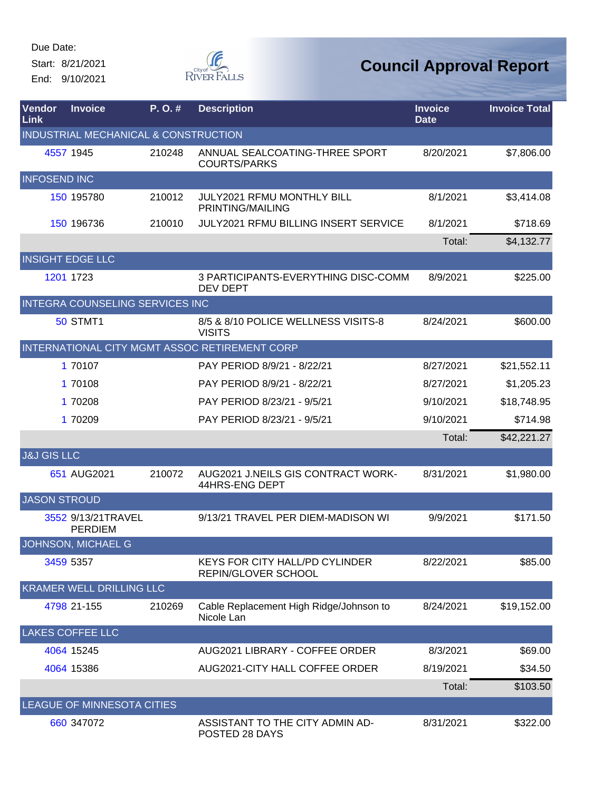Start: 8/21/2021 End: 9/10/2021



| Vendor<br>Link         | <b>Invoice</b>                         | P.O.#  | <b>Description</b>                                           | <b>Invoice</b><br><b>Date</b> | <b>Invoice Total</b> |
|------------------------|----------------------------------------|--------|--------------------------------------------------------------|-------------------------------|----------------------|
|                        | INDUSTRIAL MECHANICAL & CONSTRUCTION   |        |                                                              |                               |                      |
|                        | 4557 1945                              | 210248 | ANNUAL SEALCOATING-THREE SPORT<br><b>COURTS/PARKS</b>        | 8/20/2021                     | \$7,806.00           |
| <b>INFOSEND INC</b>    |                                        |        |                                                              |                               |                      |
|                        | 150 195780                             | 210012 | JULY2021 RFMU MONTHLY BILL<br>PRINTING/MAILING               | 8/1/2021                      | \$3,414.08           |
|                        | 150 196736                             | 210010 | <b>JULY2021 RFMU BILLING INSERT SERVICE</b>                  | 8/1/2021                      | \$718.69             |
|                        |                                        |        |                                                              | Total:                        | \$4,132.77           |
|                        | <b>INSIGHT EDGE LLC</b>                |        |                                                              |                               |                      |
|                        | 1201 1723                              |        | 3 PARTICIPANTS-EVERYTHING DISC-COMM<br><b>DEV DEPT</b>       | 8/9/2021                      | \$225.00             |
|                        | <b>INTEGRA COUNSELING SERVICES INC</b> |        |                                                              |                               |                      |
|                        | <b>50 STMT1</b>                        |        | 8/5 & 8/10 POLICE WELLNESS VISITS-8<br><b>VISITS</b>         | 8/24/2021                     | \$600.00             |
|                        |                                        |        | INTERNATIONAL CITY MGMT ASSOC RETIREMENT CORP                |                               |                      |
|                        | 1 70107                                |        | PAY PERIOD 8/9/21 - 8/22/21                                  | 8/27/2021                     | \$21,552.11          |
|                        | 1 70108                                |        | PAY PERIOD 8/9/21 - 8/22/21                                  | 8/27/2021                     | \$1,205.23           |
|                        | 1 70208                                |        | PAY PERIOD 8/23/21 - 9/5/21                                  | 9/10/2021                     | \$18,748.95          |
|                        | 1 70209                                |        | PAY PERIOD 8/23/21 - 9/5/21                                  | 9/10/2021                     | \$714.98             |
|                        |                                        |        |                                                              | Total:                        | \$42,221.27          |
| <b>J&amp;J GIS LLC</b> |                                        |        |                                                              |                               |                      |
|                        | 651 AUG2021                            | 210072 | AUG2021 J.NEILS GIS CONTRACT WORK-<br>44HRS-ENG DEPT         | 8/31/2021                     | \$1,980.00           |
| <b>JASON STROUD</b>    |                                        |        |                                                              |                               |                      |
|                        | 3552 9/13/21TRAVEL<br><b>PERDIEM</b>   |        | 9/13/21 TRAVEL PER DIEM-MADISON WI                           | 9/9/2021                      | \$171.50             |
|                        | JOHNSON, MICHAEL G                     |        |                                                              |                               |                      |
|                        | 3459 5357                              |        | <b>KEYS FOR CITY HALL/PD CYLINDER</b><br>REPIN/GLOVER SCHOOL | 8/22/2021                     | \$85.00              |
|                        | KRAMER WELL DRILLING LLC               |        |                                                              |                               |                      |
|                        | 4798 21-155                            | 210269 | Cable Replacement High Ridge/Johnson to<br>Nicole Lan        | 8/24/2021                     | \$19,152.00          |
|                        | <b>LAKES COFFEE LLC</b>                |        |                                                              |                               |                      |
|                        | 4064 15245                             |        | AUG2021 LIBRARY - COFFEE ORDER                               | 8/3/2021                      | \$69.00              |
|                        | 4064 15386                             |        | AUG2021-CITY HALL COFFEE ORDER                               | 8/19/2021                     | \$34.50              |
|                        |                                        |        |                                                              | Total:                        | \$103.50             |
|                        | LEAGUE OF MINNESOTA CITIES             |        |                                                              |                               |                      |
|                        | 660 347072                             |        | ASSISTANT TO THE CITY ADMIN AD-<br>POSTED 28 DAYS            | 8/31/2021                     | \$322.00             |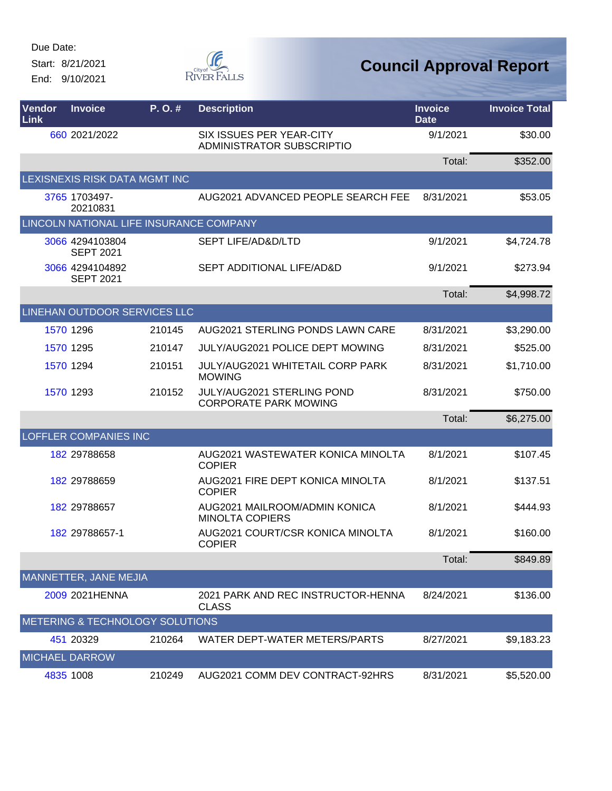Start: 8/21/2021 End: 9/10/2021



| Vendor<br>Link | <b>Invoice</b>                          | P.O.#  | <b>Description</b>                                                | <b>Invoice</b><br><b>Date</b> | <b>Invoice Total</b> |
|----------------|-----------------------------------------|--------|-------------------------------------------------------------------|-------------------------------|----------------------|
|                | 660 2021/2022                           |        | SIX ISSUES PER YEAR-CITY<br><b>ADMINISTRATOR SUBSCRIPTIO</b>      | 9/1/2021                      | \$30.00              |
|                |                                         |        |                                                                   | Total:                        | \$352.00             |
|                | LEXISNEXIS RISK DATA MGMT INC           |        |                                                                   |                               |                      |
|                | 3765 1703497-<br>20210831               |        | AUG2021 ADVANCED PEOPLE SEARCH FEE                                | 8/31/2021                     | \$53.05              |
|                | LINCOLN NATIONAL LIFE INSURANCE COMPANY |        |                                                                   |                               |                      |
|                | 3066 4294103804<br><b>SEPT 2021</b>     |        | SEPT LIFE/AD&D/LTD                                                | 9/1/2021                      | \$4,724.78           |
|                | 3066 4294104892<br><b>SEPT 2021</b>     |        | SEPT ADDITIONAL LIFE/AD&D                                         | 9/1/2021                      | \$273.94             |
|                |                                         |        |                                                                   | Total:                        | \$4,998.72           |
|                | LINEHAN OUTDOOR SERVICES LLC            |        |                                                                   |                               |                      |
|                | 1570 1296                               | 210145 | AUG2021 STERLING PONDS LAWN CARE                                  | 8/31/2021                     | \$3,290.00           |
|                | 1570 1295                               | 210147 | <b>JULY/AUG2021 POLICE DEPT MOWING</b>                            | 8/31/2021                     | \$525.00             |
|                | 1570 1294                               | 210151 | <b>JULY/AUG2021 WHITETAIL CORP PARK</b><br><b>MOWING</b>          | 8/31/2021                     | \$1,710.00           |
|                | 1570 1293                               | 210152 | <b>JULY/AUG2021 STERLING POND</b><br><b>CORPORATE PARK MOWING</b> | 8/31/2021                     | \$750.00             |
|                |                                         |        |                                                                   | Total:                        | \$6,275.00           |
|                | <b>LOFFLER COMPANIES INC</b>            |        |                                                                   |                               |                      |
|                | 182 29788658                            |        | AUG2021 WASTEWATER KONICA MINOLTA<br><b>COPIER</b>                | 8/1/2021                      | \$107.45             |
|                | 182 29788659                            |        | AUG2021 FIRE DEPT KONICA MINOLTA<br><b>COPIER</b>                 | 8/1/2021                      | \$137.51             |
|                | 182 29788657                            |        | AUG2021 MAILROOM/ADMIN KONICA<br><b>MINOLTA COPIERS</b>           | 8/1/2021                      | \$444.93             |
|                | 182 29788657-1                          |        | AUG2021 COURT/CSR KONICA MINOLTA<br><b>COPIER</b>                 | 8/1/2021                      | \$160.00             |
|                |                                         |        |                                                                   | Total:                        | \$849.89             |
|                | MANNETTER, JANE MEJIA                   |        |                                                                   |                               |                      |
|                | 2009 2021HENNA                          |        | 2021 PARK AND REC INSTRUCTOR-HENNA<br><b>CLASS</b>                | 8/24/2021                     | \$136.00             |
|                | METERING & TECHNOLOGY SOLUTIONS         |        |                                                                   |                               |                      |
|                | 451 20329                               | 210264 | WATER DEPT-WATER METERS/PARTS                                     | 8/27/2021                     | \$9,183.23           |
|                | <b>MICHAEL DARROW</b>                   |        |                                                                   |                               |                      |
|                | 4835 1008                               | 210249 | AUG2021 COMM DEV CONTRACT-92HRS                                   | 8/31/2021                     | \$5,520.00           |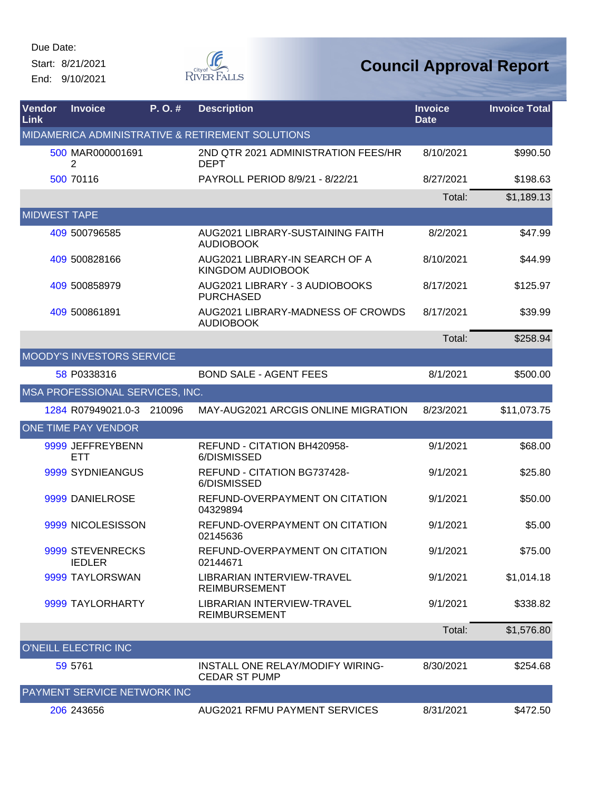Start: 8/21/2021 End: 9/10/2021



| <b>Vendor</b><br><b>Link</b> | <b>Invoice</b>                    | P. O. # | <b>Description</b>                                       | <b>Invoice</b><br><b>Date</b> | <b>Invoice Total</b> |
|------------------------------|-----------------------------------|---------|----------------------------------------------------------|-------------------------------|----------------------|
|                              |                                   |         | MIDAMERICA ADMINISTRATIVE & RETIREMENT SOLUTIONS         |                               |                      |
|                              | 500 MAR000001691<br>2             |         | 2ND QTR 2021 ADMINISTRATION FEES/HR<br><b>DEPT</b>       | 8/10/2021                     | \$990.50             |
|                              | 500 70116                         |         | PAYROLL PERIOD 8/9/21 - 8/22/21                          | 8/27/2021                     | \$198.63             |
|                              |                                   |         |                                                          | Total:                        | \$1,189.13           |
| <b>MIDWEST TAPE</b>          |                                   |         |                                                          |                               |                      |
|                              | 409 500796585                     |         | AUG2021 LIBRARY-SUSTAINING FAITH<br><b>AUDIOBOOK</b>     | 8/2/2021                      | \$47.99              |
|                              | 409 500828166                     |         | AUG2021 LIBRARY-IN SEARCH OF A<br>KINGDOM AUDIOBOOK      | 8/10/2021                     | \$44.99              |
|                              | 409 500858979                     |         | AUG2021 LIBRARY - 3 AUDIOBOOKS<br><b>PURCHASED</b>       | 8/17/2021                     | \$125.97             |
|                              | 409 500861891                     |         | AUG2021 LIBRARY-MADNESS OF CROWDS<br><b>AUDIOBOOK</b>    | 8/17/2021                     | \$39.99              |
|                              |                                   |         |                                                          | Total:                        | \$258.94             |
|                              | <b>MOODY'S INVESTORS SERVICE</b>  |         |                                                          |                               |                      |
|                              | 58 P0338316                       |         | <b>BOND SALE - AGENT FEES</b>                            | 8/1/2021                      | \$500.00             |
|                              | MSA PROFESSIONAL SERVICES, INC.   |         |                                                          |                               |                      |
|                              | 1284 R07949021.0-3                | 210096  | MAY-AUG2021 ARCGIS ONLINE MIGRATION                      | 8/23/2021                     | \$11,073.75          |
|                              | ONE TIME PAY VENDOR               |         |                                                          |                               |                      |
|                              | 9999 JEFFREYBENN<br><b>ETT</b>    |         | REFUND - CITATION BH420958-<br>6/DISMISSED               | 9/1/2021                      | \$68.00              |
|                              | 9999 SYDNIEANGUS                  |         | REFUND - CITATION BG737428-<br>6/DISMISSED               | 9/1/2021                      | \$25.80              |
|                              | 9999 DANIELROSE                   |         | REFUND-OVERPAYMENT ON CITATION<br>04329894               | 9/1/2021                      | \$50.00              |
|                              | 9999 NICOLESISSON                 |         | REFUND-OVERPAYMENT ON CITATION<br>02145636               | 9/1/2021                      | \$5.00               |
|                              | 9999 STEVENRECKS<br><b>IEDLER</b> |         | REFUND-OVERPAYMENT ON CITATION<br>02144671               | 9/1/2021                      | \$75.00              |
|                              | 9999 TAYLORSWAN                   |         | LIBRARIAN INTERVIEW-TRAVEL<br><b>REIMBURSEMENT</b>       | 9/1/2021                      | \$1,014.18           |
|                              | 9999 TAYLORHARTY                  |         | LIBRARIAN INTERVIEW-TRAVEL<br><b>REIMBURSEMENT</b>       | 9/1/2021                      | \$338.82             |
|                              |                                   |         |                                                          | Total:                        | \$1,576.80           |
|                              | <b>O'NEILL ELECTRIC INC</b>       |         |                                                          |                               |                      |
|                              | 59 5761                           |         | INSTALL ONE RELAY/MODIFY WIRING-<br><b>CEDAR ST PUMP</b> | 8/30/2021                     | \$254.68             |
|                              | PAYMENT SERVICE NETWORK INC       |         |                                                          |                               |                      |
|                              | 206 243656                        |         | <b>AUG2021 RFMU PAYMENT SERVICES</b>                     | 8/31/2021                     | \$472.50             |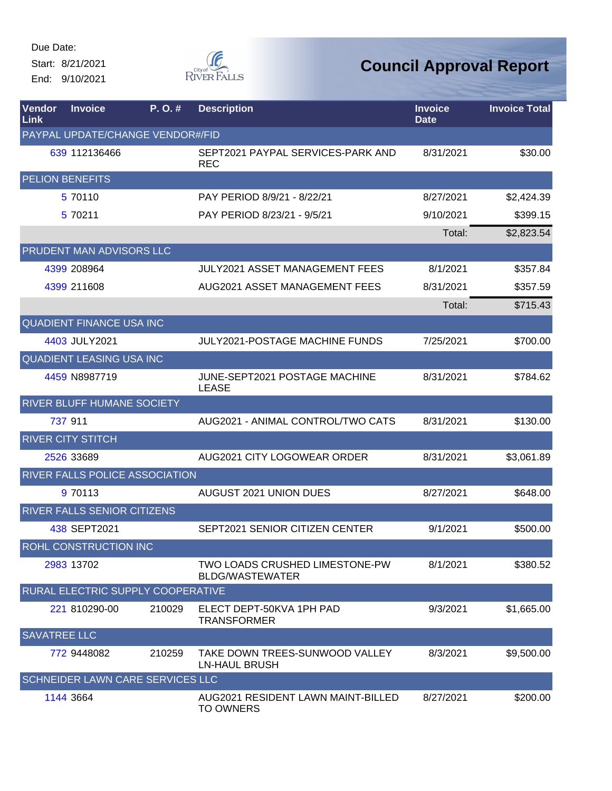Start: 8/21/2021 End: 9/10/2021



| Vendor<br>Link      | <b>Invoice</b>              | P.O.#                             | <b>Description</b>                                       | <b>Invoice</b><br><b>Date</b> | <b>Invoice Total</b> |
|---------------------|-----------------------------|-----------------------------------|----------------------------------------------------------|-------------------------------|----------------------|
|                     |                             | PAYPAL UPDATE/CHANGE VENDOR#/FID  |                                                          |                               |                      |
|                     | 639 112136466               |                                   | SEPT2021 PAYPAL SERVICES-PARK AND<br><b>REC</b>          | 8/31/2021                     | \$30.00              |
|                     | <b>PELION BENEFITS</b>      |                                   |                                                          |                               |                      |
|                     | 5 70110                     |                                   | PAY PERIOD 8/9/21 - 8/22/21                              | 8/27/2021                     | \$2,424.39           |
|                     | 5 70211                     |                                   | PAY PERIOD 8/23/21 - 9/5/21                              | 9/10/2021                     | \$399.15             |
|                     |                             |                                   |                                                          | Total:                        | \$2,823.54           |
|                     | PRUDENT MAN ADVISORS LLC    |                                   |                                                          |                               |                      |
|                     | 4399 208964                 |                                   | <b>JULY2021 ASSET MANAGEMENT FEES</b>                    | 8/1/2021                      | \$357.84             |
|                     | 4399 211608                 |                                   | AUG2021 ASSET MANAGEMENT FEES                            | 8/31/2021                     | \$357.59             |
|                     |                             |                                   |                                                          | Total:                        | \$715.43             |
|                     | QUADIENT FINANCE USA INC    |                                   |                                                          |                               |                      |
|                     | 4403 JULY2021               |                                   | JULY2021-POSTAGE MACHINE FUNDS                           | 7/25/2021                     | \$700.00             |
|                     | QUADIENT LEASING USA INC    |                                   |                                                          |                               |                      |
|                     | 4459 N8987719               |                                   | JUNE-SEPT2021 POSTAGE MACHINE<br><b>LEASE</b>            | 8/31/2021                     | \$784.62             |
|                     |                             | RIVER BLUFF HUMANE SOCIETY        |                                                          |                               |                      |
|                     | 737 911                     |                                   | AUG2021 - ANIMAL CONTROL/TWO CATS                        | 8/31/2021                     | \$130.00             |
|                     | <b>RIVER CITY STITCH</b>    |                                   |                                                          |                               |                      |
|                     | 2526 33689                  |                                   | AUG2021 CITY LOGOWEAR ORDER                              | 8/31/2021                     | \$3,061.89           |
|                     |                             | RIVER FALLS POLICE ASSOCIATION    |                                                          |                               |                      |
|                     | 9 70113                     |                                   | <b>AUGUST 2021 UNION DUES</b>                            | 8/27/2021                     | \$648.00             |
|                     | RIVER FALLS SENIOR CITIZENS |                                   |                                                          |                               |                      |
|                     | 438 SEPT2021                |                                   | SEPT2021 SENIOR CITIZEN CENTER                           | 9/1/2021                      | \$500.00             |
|                     | ROHL CONSTRUCTION INC       |                                   |                                                          |                               |                      |
|                     | 2983 13702                  |                                   | TWO LOADS CRUSHED LIMESTONE-PW<br><b>BLDG/WASTEWATER</b> | 8/1/2021                      | \$380.52             |
|                     |                             | RURAL ELECTRIC SUPPLY COOPERATIVE |                                                          |                               |                      |
|                     | 221 810290-00               | 210029                            | ELECT DEPT-50KVA 1PH PAD<br><b>TRANSFORMER</b>           | 9/3/2021                      | \$1,665.00           |
| <b>SAVATREE LLC</b> |                             |                                   |                                                          |                               |                      |
|                     | 772 9448082                 | 210259                            | TAKE DOWN TREES-SUNWOOD VALLEY<br><b>LN-HAUL BRUSH</b>   | 8/3/2021                      | \$9,500.00           |
|                     |                             | SCHNEIDER LAWN CARE SERVICES LLC  |                                                          |                               |                      |
|                     | 1144 3664                   |                                   | AUG2021 RESIDENT LAWN MAINT-BILLED<br><b>TO OWNERS</b>   | 8/27/2021                     | \$200.00             |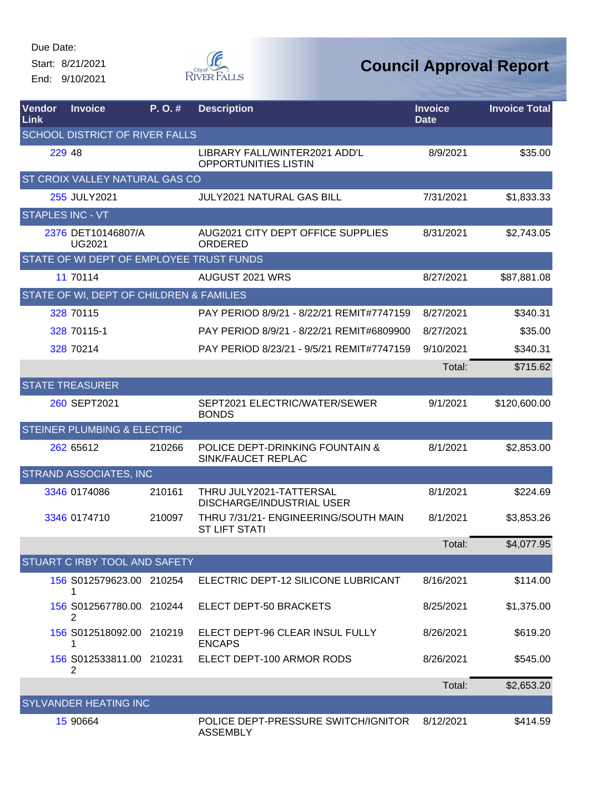Start: 8/21/2021 End: 9/10/2021



| Vendor<br>Link | <b>Invoice</b>                           | P. O. # | <b>Description</b>                                           | <b>Invoice</b><br><b>Date</b> | <b>Invoice Total</b> |
|----------------|------------------------------------------|---------|--------------------------------------------------------------|-------------------------------|----------------------|
|                | <b>SCHOOL DISTRICT OF RIVER FALLS</b>    |         |                                                              |                               |                      |
|                | 229 48                                   |         | LIBRARY FALL/WINTER2021 ADD'L<br><b>OPPORTUNITIES LISTIN</b> | 8/9/2021                      | \$35.00              |
|                | <b>ST CROIX VALLEY NATURAL GAS CO</b>    |         |                                                              |                               |                      |
|                | 255 JULY2021                             |         | <b>JULY2021 NATURAL GAS BILL</b>                             | 7/31/2021                     | \$1,833.33           |
|                | <b>STAPLES INC - VT</b>                  |         |                                                              |                               |                      |
|                | 2376 DET10146807/A<br><b>UG2021</b>      |         | AUG2021 CITY DEPT OFFICE SUPPLIES<br>ORDERED                 | 8/31/2021                     | \$2,743.05           |
|                | STATE OF WI DEPT OF EMPLOYEE TRUST FUNDS |         |                                                              |                               |                      |
|                | 11 70114                                 |         | AUGUST 2021 WRS                                              | 8/27/2021                     | \$87,881.08          |
|                | STATE OF WI, DEPT OF CHILDREN & FAMILIES |         |                                                              |                               |                      |
|                | 328 70115                                |         | PAY PERIOD 8/9/21 - 8/22/21 REMIT#7747159                    | 8/27/2021                     | \$340.31             |
|                | 328 70115-1                              |         | PAY PERIOD 8/9/21 - 8/22/21 REMIT#6809900                    | 8/27/2021                     | \$35.00              |
|                | 328 70214                                |         | PAY PERIOD 8/23/21 - 9/5/21 REMIT#7747159                    | 9/10/2021                     | \$340.31             |
|                |                                          |         |                                                              | Total:                        | \$715.62             |
|                | <b>STATE TREASURER</b>                   |         |                                                              |                               |                      |
|                | 260 SEPT2021                             |         | SEPT2021 ELECTRIC/WATER/SEWER<br><b>BONDS</b>                | 9/1/2021                      | \$120,600.00         |
|                | <b>STEINER PLUMBING &amp; ELECTRIC</b>   |         |                                                              |                               |                      |
|                | 262 65612                                | 210266  | POLICE DEPT-DRINKING FOUNTAIN &<br>SINK/FAUCET REPLAC        | 8/1/2021                      | \$2,853.00           |
|                | STRAND ASSOCIATES, INC                   |         |                                                              |                               |                      |
|                | 3346 0174086                             | 210161  | THRU JULY2021-TATTERSAL<br>DISCHARGE/INDUSTRIAL USER         | 8/1/2021                      | \$224.69             |
|                | 3346 0174710                             | 210097  | THRU 7/31/21- ENGINEERING/SOUTH MAIN<br><b>ST LIFT STATI</b> | 8/1/2021                      | \$3,853.26           |
|                |                                          |         |                                                              | Total:                        | \$4,077.95           |
|                | <b>STUART C IRBY TOOL AND SAFETY</b>     |         |                                                              |                               |                      |
|                | 156 S012579623.00 210254<br>1            |         | ELECTRIC DEPT-12 SILICONE LUBRICANT                          | 8/16/2021                     | \$114.00             |
|                | 156 S012567780.00 210244<br>2            |         | ELECT DEPT-50 BRACKETS                                       | 8/25/2021                     | \$1,375.00           |
|                | 156 S012518092.00 210219<br>1            |         | ELECT DEPT-96 CLEAR INSUL FULLY<br><b>ENCAPS</b>             | 8/26/2021                     | \$619.20             |
|                | 156 S012533811.00 210231<br>2            |         | ELECT DEPT-100 ARMOR RODS                                    | 8/26/2021                     | \$545.00             |
|                |                                          |         |                                                              | Total:                        | \$2,653.20           |
|                | <b>SYLVANDER HEATING INC</b>             |         |                                                              |                               |                      |
|                | 15 90664                                 |         | POLICE DEPT-PRESSURE SWITCH/IGNITOR<br><b>ASSEMBLY</b>       | 8/12/2021                     | \$414.59             |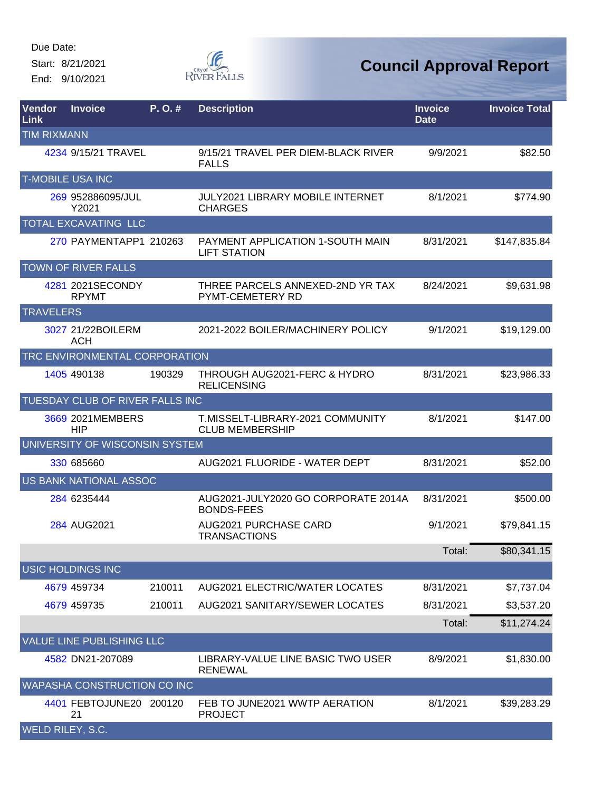Start: 8/21/2021 End: 9/10/2021



| <b>Vendor</b><br>Link | <b>Invoice</b>                   | P. O. # | <b>Description</b>                                          | <b>Invoice</b><br><b>Date</b> | <b>Invoice Total</b> |
|-----------------------|----------------------------------|---------|-------------------------------------------------------------|-------------------------------|----------------------|
| <b>TIM RIXMANN</b>    |                                  |         |                                                             |                               |                      |
|                       | 4234 9/15/21 TRAVEL              |         | 9/15/21 TRAVEL PER DIEM-BLACK RIVER<br><b>FALLS</b>         | 9/9/2021                      | \$82.50              |
|                       | <b>T-MOBILE USA INC</b>          |         |                                                             |                               |                      |
|                       | 269 952886095/JUL<br>Y2021       |         | <b>JULY2021 LIBRARY MOBILE INTERNET</b><br><b>CHARGES</b>   | 8/1/2021                      | \$774.90             |
|                       | TOTAL EXCAVATING LLC             |         |                                                             |                               |                      |
|                       | 270 PAYMENTAPP1 210263           |         | PAYMENT APPLICATION 1-SOUTH MAIN<br><b>LIFT STATION</b>     | 8/31/2021                     | \$147,835.84         |
|                       | <b>TOWN OF RIVER FALLS</b>       |         |                                                             |                               |                      |
|                       | 4281 2021SECONDY<br><b>RPYMT</b> |         | THREE PARCELS ANNEXED-2ND YR TAX<br><b>PYMT-CEMETERY RD</b> | 8/24/2021                     | \$9,631.98           |
| <b>TRAVELERS</b>      |                                  |         |                                                             |                               |                      |
|                       | 3027 21/22BOILERM<br><b>ACH</b>  |         | 2021-2022 BOILER/MACHINERY POLICY                           | 9/1/2021                      | \$19,129.00          |
|                       | TRC ENVIRONMENTAL CORPORATION    |         |                                                             |                               |                      |
|                       | 1405 490138                      | 190329  | THROUGH AUG2021-FERC & HYDRO<br><b>RELICENSING</b>          | 8/31/2021                     | \$23,986.33          |
|                       | TUESDAY CLUB OF RIVER FALLS INC  |         |                                                             |                               |                      |
|                       | 3669 2021 MEMBERS<br><b>HIP</b>  |         | T.MISSELT-LIBRARY-2021 COMMUNITY<br><b>CLUB MEMBERSHIP</b>  | 8/1/2021                      | \$147.00             |
|                       | UNIVERSITY OF WISCONSIN SYSTEM   |         |                                                             |                               |                      |
|                       | 330 685660                       |         | AUG2021 FLUORIDE - WATER DEPT                               | 8/31/2021                     | \$52.00              |
|                       | US BANK NATIONAL ASSOC           |         |                                                             |                               |                      |
|                       | 284 6235444                      |         | AUG2021-JULY2020 GO CORPORATE 2014A<br><b>BONDS-FEES</b>    | 8/31/2021                     | \$500.00             |
|                       | 284 AUG2021                      |         | AUG2021 PURCHASE CARD<br><b>TRANSACTIONS</b>                | 9/1/2021                      | \$79,841.15          |
|                       |                                  |         |                                                             | Total:                        | \$80,341.15          |
|                       | USIC HOLDINGS INC                |         |                                                             |                               |                      |
|                       | 4679 459734                      | 210011  | <b>AUG2021 ELECTRIC/WATER LOCATES</b>                       | 8/31/2021                     | \$7,737.04           |
|                       | 4679 459735                      | 210011  | <b>AUG2021 SANITARY/SEWER LOCATES</b>                       | 8/31/2021                     | \$3,537.20           |
|                       |                                  |         |                                                             | Total:                        | \$11,274.24          |
|                       | VALUE LINE PUBLISHING LLC        |         |                                                             |                               |                      |
|                       | 4582 DN21-207089                 |         | LIBRARY-VALUE LINE BASIC TWO USER<br><b>RENEWAL</b>         | 8/9/2021                      | \$1,830.00           |
|                       | WAPASHA CONSTRUCTION CO INC      |         |                                                             |                               |                      |
|                       | 4401 FEBTOJUNE20 200120<br>21    |         | FEB TO JUNE2021 WWTP AERATION<br><b>PROJECT</b>             | 8/1/2021                      | \$39,283.29          |
| WELD RILEY, S.C.      |                                  |         |                                                             |                               |                      |